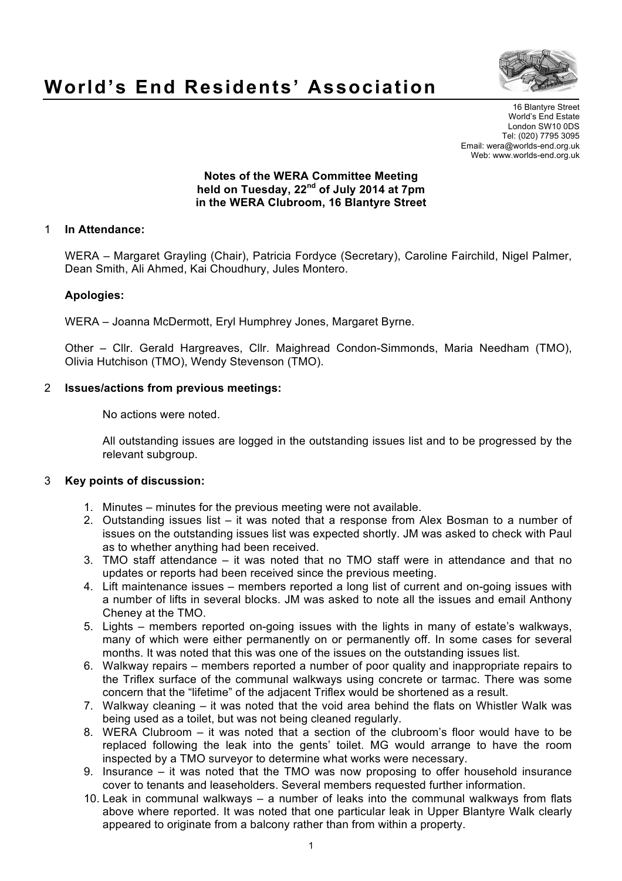

# **World's End Residents' Association**

16 Blantyre Street World's End Estate London SW10 0DS Tel: (020) 7795 3095 Email: wera@worlds-end.org.uk Web: www.worlds-end.org.uk

#### **Notes of the WERA Committee Meeting held on Tuesday, 22nd of July 2014 at 7pm in the WERA Clubroom, 16 Blantyre Street**

# 1 **In Attendance:**

WERA – Margaret Grayling (Chair), Patricia Fordyce (Secretary), Caroline Fairchild, Nigel Palmer, Dean Smith, Ali Ahmed, Kai Choudhury, Jules Montero.

### **Apologies:**

WERA – Joanna McDermott, Eryl Humphrey Jones, Margaret Byrne.

Other – Cllr. Gerald Hargreaves, Cllr. Maighread Condon-Simmonds, Maria Needham (TMO), Olivia Hutchison (TMO), Wendy Stevenson (TMO).

# 2 **Issues/actions from previous meetings:**

No actions were noted.

All outstanding issues are logged in the outstanding issues list and to be progressed by the relevant subgroup.

### 3 **Key points of discussion:**

- 1. Minutes minutes for the previous meeting were not available.
- 2. Outstanding issues list it was noted that a response from Alex Bosman to a number of issues on the outstanding issues list was expected shortly. JM was asked to check with Paul as to whether anything had been received.
- 3. TMO staff attendance it was noted that no TMO staff were in attendance and that no updates or reports had been received since the previous meeting.
- 4. Lift maintenance issues members reported a long list of current and on-going issues with a number of lifts in several blocks. JM was asked to note all the issues and email Anthony Cheney at the TMO.
- 5. Lights members reported on-going issues with the lights in many of estate's walkways, many of which were either permanently on or permanently off. In some cases for several months. It was noted that this was one of the issues on the outstanding issues list.
- 6. Walkway repairs members reported a number of poor quality and inappropriate repairs to the Triflex surface of the communal walkways using concrete or tarmac. There was some concern that the "lifetime" of the adjacent Triflex would be shortened as a result.
- 7. Walkway cleaning it was noted that the void area behind the flats on Whistler Walk was being used as a toilet, but was not being cleaned regularly.
- 8. WERA Clubroom it was noted that a section of the clubroom's floor would have to be replaced following the leak into the gents' toilet. MG would arrange to have the room inspected by a TMO surveyor to determine what works were necessary.
- 9. Insurance it was noted that the TMO was now proposing to offer household insurance cover to tenants and leaseholders. Several members requested further information.
- 10. Leak in communal walkways a number of leaks into the communal walkways from flats above where reported. It was noted that one particular leak in Upper Blantyre Walk clearly appeared to originate from a balcony rather than from within a property.